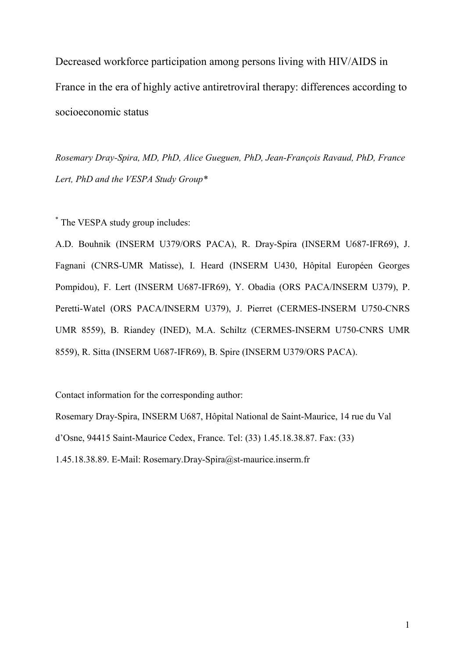Decreased workforce participation among persons living with HIV/AIDS in France in the era of highly active antiretroviral therapy: differences according to socioeconomic status

Rosemary Dray-Spira, MD, PhD, Alice Gueguen, PhD, Jean-François Ravaud, PhD, France Lert, PhD and the VESPA Study Group\*

\* The VESPA study group includes:

A.D. Bouhnik (INSERM U379/ORS PACA), R. Dray-Spira (INSERM U687-IFR69), J. Fagnani (CNRS-UMR Matisse), I. Heard (INSERM U430, Hôpital Européen Georges Pompidou), F. Lert (INSERM U687-IFR69), Y. Obadia (ORS PACA/INSERM U379), P. Peretti-Watel (ORS PACA/INSERM U379), J. Pierret (CERMES-INSERM U750-CNRS UMR 8559), B. Riandey (INED), M.A. Schiltz (CERMES-INSERM U750-CNRS UMR 8559), R. Sitta (INSERM U687-IFR69), B. Spire (INSERM U379/ORS PACA).

Contact information for the corresponding author:

Rosemary Dray-Spira, INSERM U687, Hôpital National de Saint-Maurice, 14 rue du Val d'Osne, 94415 Saint-Maurice Cedex, France. Tel: (33) 1.45.18.38.87. Fax: (33)

1.45.18.38.89. E-Mail: Rosemary.Dray-Spira@st-maurice.inserm.fr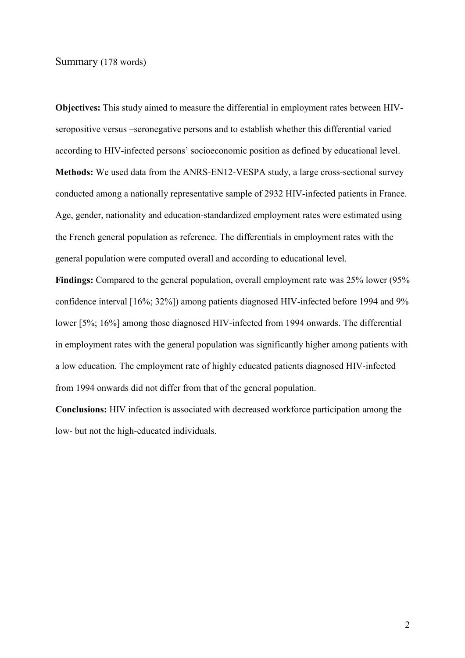### Summary (178 words)

Objectives: This study aimed to measure the differential in employment rates between HIVseropositive versus –seronegative persons and to establish whether this differential varied according to HIV-infected persons' socioeconomic position as defined by educational level. Methods: We used data from the ANRS-EN12-VESPA study, a large cross-sectional survey conducted among a nationally representative sample of 2932 HIV-infected patients in France. Age, gender, nationality and education-standardized employment rates were estimated using the French general population as reference. The differentials in employment rates with the general population were computed overall and according to educational level.

Findings: Compared to the general population, overall employment rate was 25% lower (95% confidence interval [16%; 32%]) among patients diagnosed HIV-infected before 1994 and 9% lower [5%; 16%] among those diagnosed HIV-infected from 1994 onwards. The differential in employment rates with the general population was significantly higher among patients with a low education. The employment rate of highly educated patients diagnosed HIV-infected from 1994 onwards did not differ from that of the general population.

Conclusions: HIV infection is associated with decreased workforce participation among the low- but not the high-educated individuals.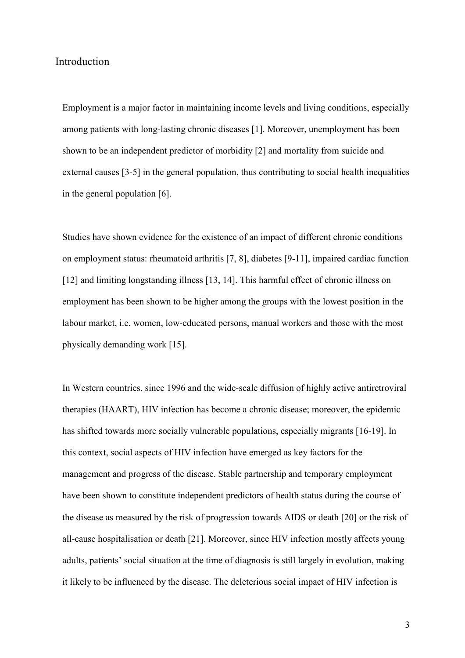## Introduction

Employment is a major factor in maintaining income levels and living conditions, especially among patients with long-lasting chronic diseases [1]. Moreover, unemployment has been shown to be an independent predictor of morbidity [2] and mortality from suicide and external causes [3-5] in the general population, thus contributing to social health inequalities in the general population [6].

Studies have shown evidence for the existence of an impact of different chronic conditions on employment status: rheumatoid arthritis [7, 8], diabetes [9-11], impaired cardiac function [12] and limiting longstanding illness [13, 14]. This harmful effect of chronic illness on employment has been shown to be higher among the groups with the lowest position in the labour market, i.e. women, low-educated persons, manual workers and those with the most physically demanding work [15].

In Western countries, since 1996 and the wide-scale diffusion of highly active antiretroviral therapies (HAART), HIV infection has become a chronic disease; moreover, the epidemic has shifted towards more socially vulnerable populations, especially migrants [16-19]. In this context, social aspects of HIV infection have emerged as key factors for the management and progress of the disease. Stable partnership and temporary employment have been shown to constitute independent predictors of health status during the course of the disease as measured by the risk of progression towards AIDS or death [20] or the risk of all-cause hospitalisation or death [21]. Moreover, since HIV infection mostly affects young adults, patients' social situation at the time of diagnosis is still largely in evolution, making it likely to be influenced by the disease. The deleterious social impact of HIV infection is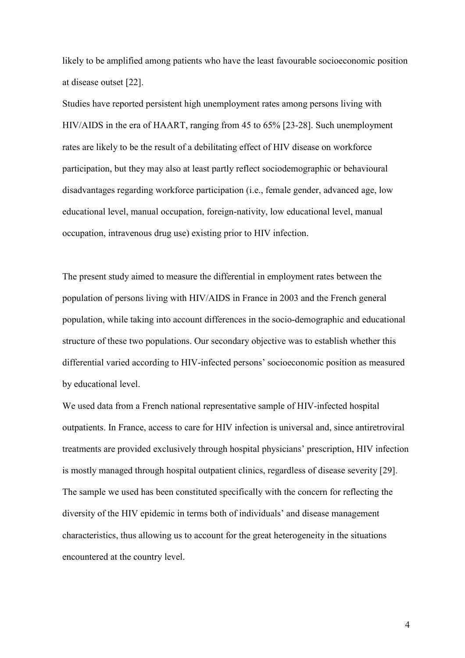likely to be amplified among patients who have the least favourable socioeconomic position at disease outset [22].

Studies have reported persistent high unemployment rates among persons living with HIV/AIDS in the era of HAART, ranging from 45 to 65% [23-28]. Such unemployment rates are likely to be the result of a debilitating effect of HIV disease on workforce participation, but they may also at least partly reflect sociodemographic or behavioural disadvantages regarding workforce participation (i.e., female gender, advanced age, low educational level, manual occupation, foreign-nativity, low educational level, manual occupation, intravenous drug use) existing prior to HIV infection.

The present study aimed to measure the differential in employment rates between the population of persons living with HIV/AIDS in France in 2003 and the French general population, while taking into account differences in the socio-demographic and educational structure of these two populations. Our secondary objective was to establish whether this differential varied according to HIV-infected persons' socioeconomic position as measured by educational level.

We used data from a French national representative sample of HIV-infected hospital outpatients. In France, access to care for HIV infection is universal and, since antiretroviral treatments are provided exclusively through hospital physicians' prescription, HIV infection is mostly managed through hospital outpatient clinics, regardless of disease severity [29]. The sample we used has been constituted specifically with the concern for reflecting the diversity of the HIV epidemic in terms both of individuals' and disease management characteristics, thus allowing us to account for the great heterogeneity in the situations encountered at the country level.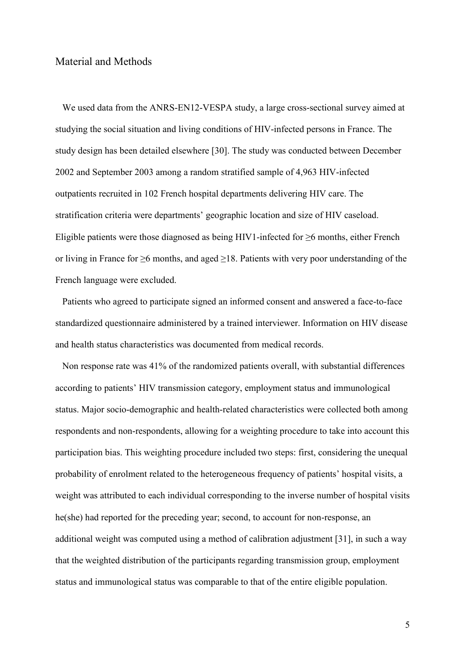## Material and Methods

We used data from the ANRS-EN12-VESPA study, a large cross-sectional survey aimed at studying the social situation and living conditions of HIV-infected persons in France. The study design has been detailed elsewhere [30]. The study was conducted between December 2002 and September 2003 among a random stratified sample of 4,963 HIV-infected outpatients recruited in 102 French hospital departments delivering HIV care. The stratification criteria were departments' geographic location and size of HIV caseload. Eligible patients were those diagnosed as being HIV1-infected for  $\geq 6$  months, either French or living in France for ≥6 months, and aged ≥18. Patients with very poor understanding of the French language were excluded.

Patients who agreed to participate signed an informed consent and answered a face-to-face standardized questionnaire administered by a trained interviewer. Information on HIV disease and health status characteristics was documented from medical records.

Non response rate was 41% of the randomized patients overall, with substantial differences according to patients' HIV transmission category, employment status and immunological status. Major socio-demographic and health-related characteristics were collected both among respondents and non-respondents, allowing for a weighting procedure to take into account this participation bias. This weighting procedure included two steps: first, considering the unequal probability of enrolment related to the heterogeneous frequency of patients' hospital visits, a weight was attributed to each individual corresponding to the inverse number of hospital visits he(she) had reported for the preceding year; second, to account for non-response, an additional weight was computed using a method of calibration adjustment [31], in such a way that the weighted distribution of the participants regarding transmission group, employment status and immunological status was comparable to that of the entire eligible population.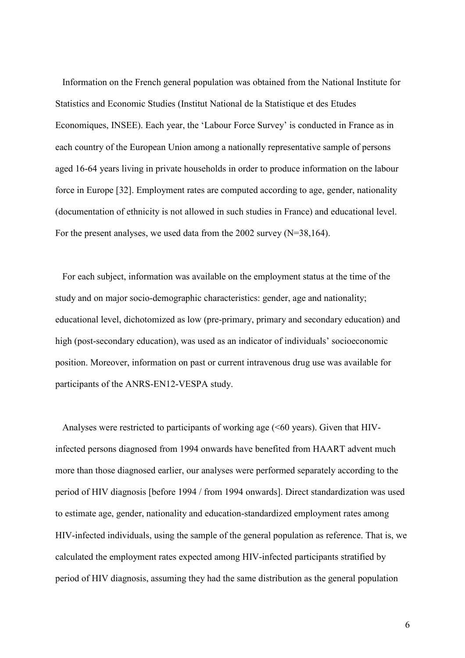Information on the French general population was obtained from the National Institute for Statistics and Economic Studies (Institut National de la Statistique et des Etudes Economiques, INSEE). Each year, the 'Labour Force Survey' is conducted in France as in each country of the European Union among a nationally representative sample of persons aged 16-64 years living in private households in order to produce information on the labour force in Europe [32]. Employment rates are computed according to age, gender, nationality (documentation of ethnicity is not allowed in such studies in France) and educational level. For the present analyses, we used data from the 2002 survey (N=38,164).

For each subject, information was available on the employment status at the time of the study and on major socio-demographic characteristics: gender, age and nationality; educational level, dichotomized as low (pre-primary, primary and secondary education) and high (post-secondary education), was used as an indicator of individuals' socioeconomic position. Moreover, information on past or current intravenous drug use was available for participants of the ANRS-EN12-VESPA study.

Analyses were restricted to participants of working age (<60 years). Given that HIVinfected persons diagnosed from 1994 onwards have benefited from HAART advent much more than those diagnosed earlier, our analyses were performed separately according to the period of HIV diagnosis [before 1994 / from 1994 onwards]. Direct standardization was used to estimate age, gender, nationality and education-standardized employment rates among HIV-infected individuals, using the sample of the general population as reference. That is, we calculated the employment rates expected among HIV-infected participants stratified by period of HIV diagnosis, assuming they had the same distribution as the general population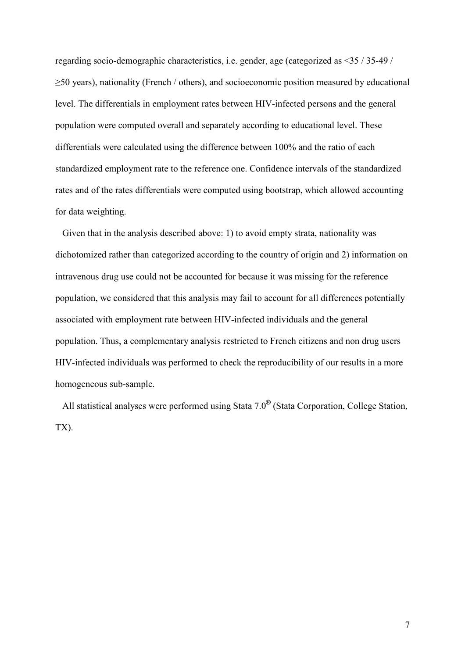regarding socio-demographic characteristics, i.e. gender, age (categorized as <35 / 35-49 / ≥50 years), nationality (French / others), and socioeconomic position measured by educational level. The differentials in employment rates between HIV-infected persons and the general population were computed overall and separately according to educational level. These differentials were calculated using the difference between 100% and the ratio of each standardized employment rate to the reference one. Confidence intervals of the standardized rates and of the rates differentials were computed using bootstrap, which allowed accounting for data weighting.

Given that in the analysis described above: 1) to avoid empty strata, nationality was dichotomized rather than categorized according to the country of origin and 2) information on intravenous drug use could not be accounted for because it was missing for the reference population, we considered that this analysis may fail to account for all differences potentially associated with employment rate between HIV-infected individuals and the general population. Thus, a complementary analysis restricted to French citizens and non drug users HIV-infected individuals was performed to check the reproducibility of our results in a more homogeneous sub-sample.

All statistical analyses were performed using Stata 7.0<sup>®</sup> (Stata Corporation, College Station, TX).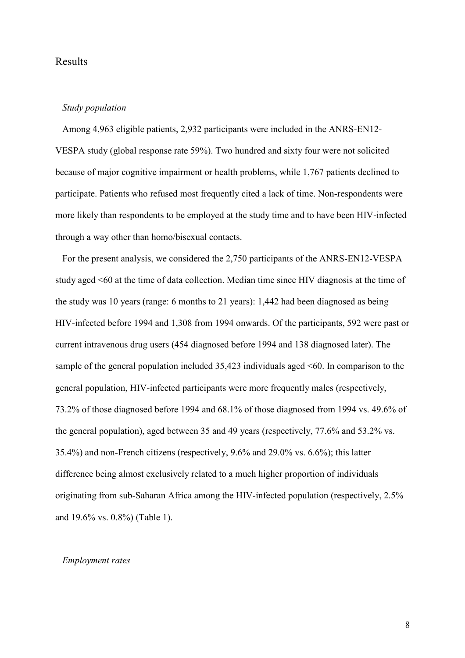## Results

### Study population

Among 4,963 eligible patients, 2,932 participants were included in the ANRS-EN12- VESPA study (global response rate 59%). Two hundred and sixty four were not solicited because of major cognitive impairment or health problems, while 1,767 patients declined to participate. Patients who refused most frequently cited a lack of time. Non-respondents were more likely than respondents to be employed at the study time and to have been HIV-infected through a way other than homo/bisexual contacts.

For the present analysis, we considered the 2,750 participants of the ANRS-EN12-VESPA study aged <60 at the time of data collection. Median time since HIV diagnosis at the time of the study was 10 years (range: 6 months to 21 years): 1,442 had been diagnosed as being HIV-infected before 1994 and 1,308 from 1994 onwards. Of the participants, 592 were past or current intravenous drug users (454 diagnosed before 1994 and 138 diagnosed later). The sample of the general population included 35,423 individuals aged <60. In comparison to the general population, HIV-infected participants were more frequently males (respectively, 73.2% of those diagnosed before 1994 and 68.1% of those diagnosed from 1994 vs. 49.6% of the general population), aged between 35 and 49 years (respectively, 77.6% and 53.2% vs. 35.4%) and non-French citizens (respectively, 9.6% and 29.0% vs. 6.6%); this latter difference being almost exclusively related to a much higher proportion of individuals originating from sub-Saharan Africa among the HIV-infected population (respectively, 2.5% and 19.6% vs. 0.8%) (Table 1).

## Employment rates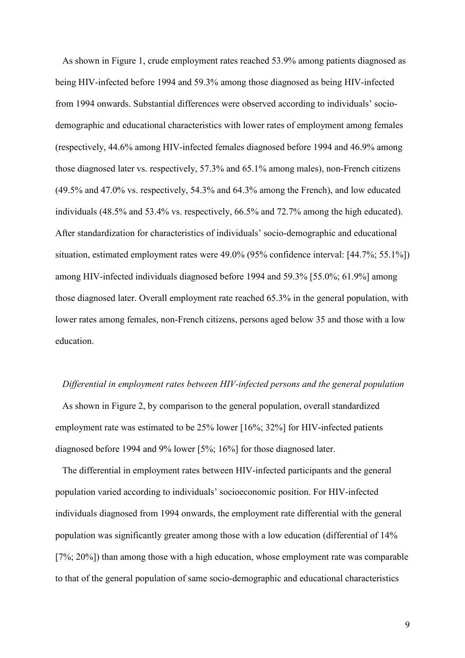As shown in Figure 1, crude employment rates reached 53.9% among patients diagnosed as being HIV-infected before 1994 and 59.3% among those diagnosed as being HIV-infected from 1994 onwards. Substantial differences were observed according to individuals' sociodemographic and educational characteristics with lower rates of employment among females (respectively, 44.6% among HIV-infected females diagnosed before 1994 and 46.9% among those diagnosed later vs. respectively, 57.3% and 65.1% among males), non-French citizens (49.5% and 47.0% vs. respectively, 54.3% and 64.3% among the French), and low educated individuals (48.5% and 53.4% vs. respectively, 66.5% and 72.7% among the high educated). After standardization for characteristics of individuals' socio-demographic and educational situation, estimated employment rates were 49.0% (95% confidence interval: [44.7%; 55.1%]) among HIV-infected individuals diagnosed before 1994 and 59.3% [55.0%; 61.9%] among those diagnosed later. Overall employment rate reached 65.3% in the general population, with lower rates among females, non-French citizens, persons aged below 35 and those with a low education.

#### Differential in employment rates between HIV-infected persons and the general population

As shown in Figure 2, by comparison to the general population, overall standardized employment rate was estimated to be 25% lower [16%; 32%] for HIV-infected patients diagnosed before 1994 and 9% lower [5%; 16%] for those diagnosed later.

The differential in employment rates between HIV-infected participants and the general population varied according to individuals' socioeconomic position. For HIV-infected individuals diagnosed from 1994 onwards, the employment rate differential with the general population was significantly greater among those with a low education (differential of 14% [7%; 20%]) than among those with a high education, whose employment rate was comparable to that of the general population of same socio-demographic and educational characteristics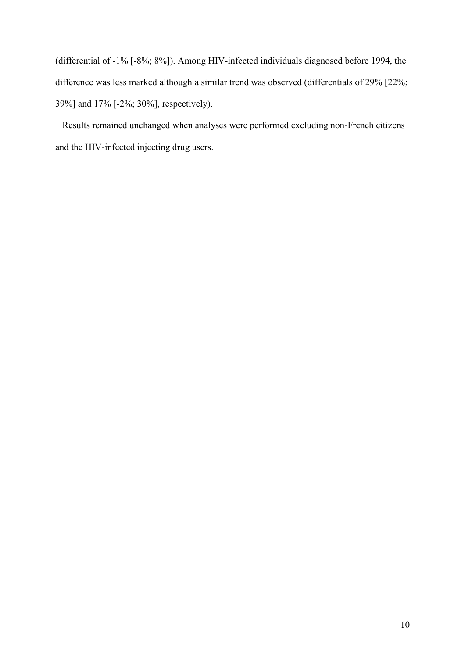(differential of -1% [-8%; 8%]). Among HIV-infected individuals diagnosed before 1994, the difference was less marked although a similar trend was observed (differentials of 29% [22%; 39%] and 17% [-2%; 30%], respectively).

Results remained unchanged when analyses were performed excluding non-French citizens and the HIV-infected injecting drug users.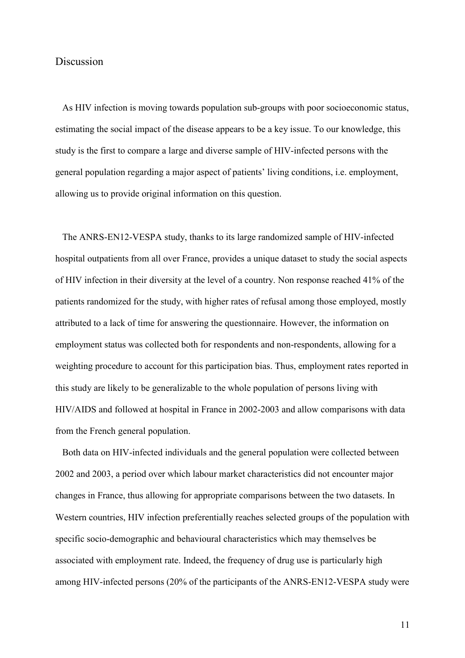## **Discussion**

As HIV infection is moving towards population sub-groups with poor socioeconomic status, estimating the social impact of the disease appears to be a key issue. To our knowledge, this study is the first to compare a large and diverse sample of HIV-infected persons with the general population regarding a major aspect of patients' living conditions, i.e. employment, allowing us to provide original information on this question.

The ANRS-EN12-VESPA study, thanks to its large randomized sample of HIV-infected hospital outpatients from all over France, provides a unique dataset to study the social aspects of HIV infection in their diversity at the level of a country. Non response reached 41% of the patients randomized for the study, with higher rates of refusal among those employed, mostly attributed to a lack of time for answering the questionnaire. However, the information on employment status was collected both for respondents and non-respondents, allowing for a weighting procedure to account for this participation bias. Thus, employment rates reported in this study are likely to be generalizable to the whole population of persons living with HIV/AIDS and followed at hospital in France in 2002-2003 and allow comparisons with data from the French general population.

Both data on HIV-infected individuals and the general population were collected between 2002 and 2003, a period over which labour market characteristics did not encounter major changes in France, thus allowing for appropriate comparisons between the two datasets. In Western countries, HIV infection preferentially reaches selected groups of the population with specific socio-demographic and behavioural characteristics which may themselves be associated with employment rate. Indeed, the frequency of drug use is particularly high among HIV-infected persons (20% of the participants of the ANRS-EN12-VESPA study were

11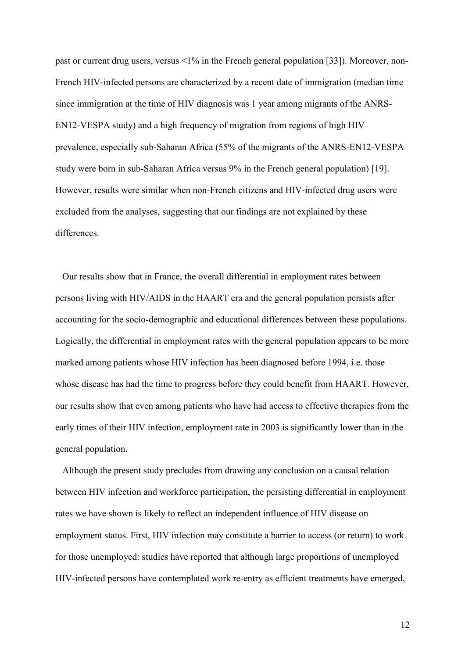past or current drug users, versus <1% in the French general population [33]). Moreover, non-French HIV-infected persons are characterized by a recent date of immigration (median time since immigration at the time of HIV diagnosis was 1 year among migrants of the ANRS-EN12-VESPA study) and a high frequency of migration from regions of high HIV prevalence, especially sub-Saharan Africa (55% of the migrants of the ANRS-EN12-VESPA study were born in sub-Saharan Africa versus 9% in the French general population) [19]. However, results were similar when non-French citizens and HIV-infected drug users were excluded from the analyses, suggesting that our findings are not explained by these differences.

Our results show that in France, the overall differential in employment rates between persons living with HIV/AIDS in the HAART era and the general population persists after accounting for the socio-demographic and educational differences between these populations. Logically, the differential in employment rates with the general population appears to be more marked among patients whose HIV infection has been diagnosed before 1994, i.e. those whose disease has had the time to progress before they could benefit from HAART. However, our results show that even among patients who have had access to effective therapies from the early times of their HIV infection, employment rate in 2003 is significantly lower than in the general population.

Although the present study precludes from drawing any conclusion on a causal relation between HIV infection and workforce participation, the persisting differential in employment rates we have shown is likely to reflect an independent influence of HIV disease on employment status. First, HIV infection may constitute a barrier to access (or return) to work for those unemployed: studies have reported that although large proportions of unemployed HIV-infected persons have contemplated work re-entry as efficient treatments have emerged,

12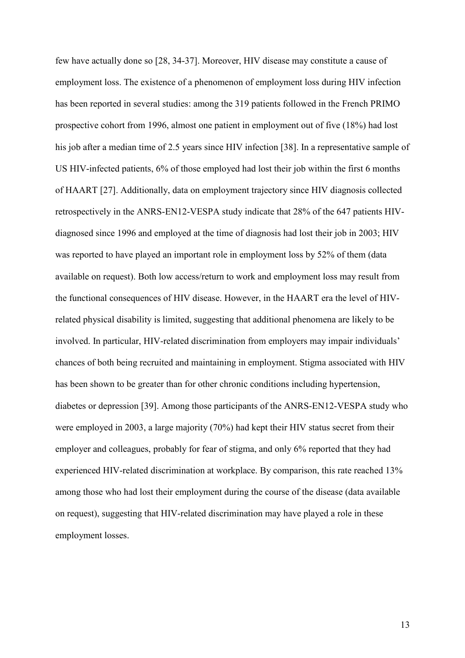few have actually done so [28, 34-37]. Moreover, HIV disease may constitute a cause of employment loss. The existence of a phenomenon of employment loss during HIV infection has been reported in several studies: among the 319 patients followed in the French PRIMO prospective cohort from 1996, almost one patient in employment out of five (18%) had lost his job after a median time of 2.5 years since HIV infection [38]. In a representative sample of US HIV-infected patients, 6% of those employed had lost their job within the first 6 months of HAART [27]. Additionally, data on employment trajectory since HIV diagnosis collected retrospectively in the ANRS-EN12-VESPA study indicate that 28% of the 647 patients HIVdiagnosed since 1996 and employed at the time of diagnosis had lost their job in 2003; HIV was reported to have played an important role in employment loss by 52% of them (data available on request). Both low access/return to work and employment loss may result from the functional consequences of HIV disease. However, in the HAART era the level of HIVrelated physical disability is limited, suggesting that additional phenomena are likely to be involved. In particular, HIV-related discrimination from employers may impair individuals' chances of both being recruited and maintaining in employment. Stigma associated with HIV has been shown to be greater than for other chronic conditions including hypertension, diabetes or depression [39]. Among those participants of the ANRS-EN12-VESPA study who were employed in 2003, a large majority (70%) had kept their HIV status secret from their employer and colleagues, probably for fear of stigma, and only 6% reported that they had experienced HIV-related discrimination at workplace. By comparison, this rate reached 13% among those who had lost their employment during the course of the disease (data available on request), suggesting that HIV-related discrimination may have played a role in these employment losses.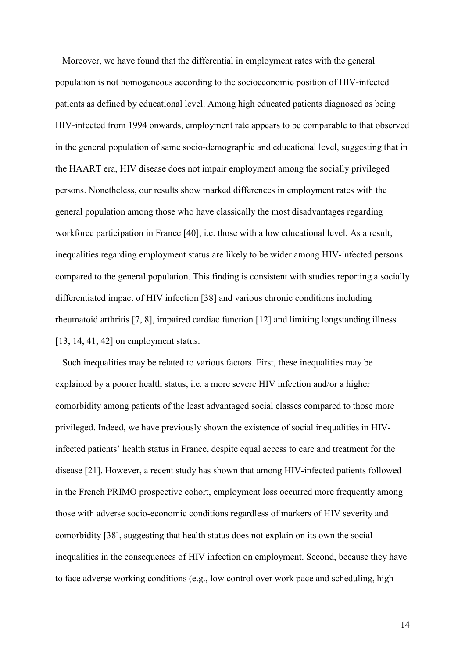Moreover, we have found that the differential in employment rates with the general population is not homogeneous according to the socioeconomic position of HIV-infected patients as defined by educational level. Among high educated patients diagnosed as being HIV-infected from 1994 onwards, employment rate appears to be comparable to that observed in the general population of same socio-demographic and educational level, suggesting that in the HAART era, HIV disease does not impair employment among the socially privileged persons. Nonetheless, our results show marked differences in employment rates with the general population among those who have classically the most disadvantages regarding workforce participation in France [40], i.e. those with a low educational level. As a result, inequalities regarding employment status are likely to be wider among HIV-infected persons compared to the general population. This finding is consistent with studies reporting a socially differentiated impact of HIV infection [38] and various chronic conditions including rheumatoid arthritis [7, 8], impaired cardiac function [12] and limiting longstanding illness [13, 14, 41, 42] on employment status.

Such inequalities may be related to various factors. First, these inequalities may be explained by a poorer health status, i.e. a more severe HIV infection and/or a higher comorbidity among patients of the least advantaged social classes compared to those more privileged. Indeed, we have previously shown the existence of social inequalities in HIVinfected patients' health status in France, despite equal access to care and treatment for the disease [21]. However, a recent study has shown that among HIV-infected patients followed in the French PRIMO prospective cohort, employment loss occurred more frequently among those with adverse socio-economic conditions regardless of markers of HIV severity and comorbidity [38], suggesting that health status does not explain on its own the social inequalities in the consequences of HIV infection on employment. Second, because they have to face adverse working conditions (e.g., low control over work pace and scheduling, high

14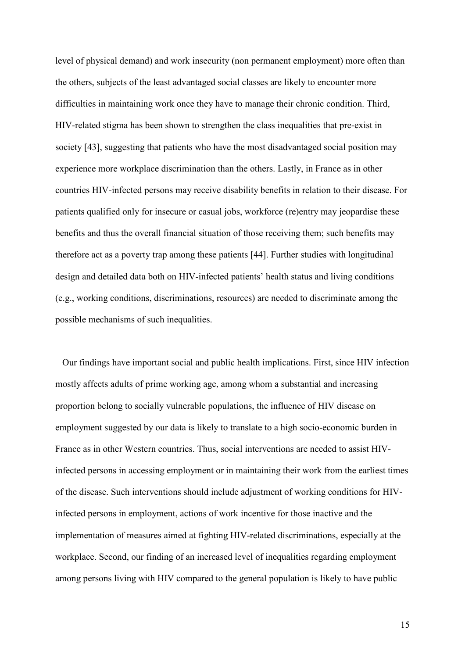level of physical demand) and work insecurity (non permanent employment) more often than the others, subjects of the least advantaged social classes are likely to encounter more difficulties in maintaining work once they have to manage their chronic condition. Third, HIV-related stigma has been shown to strengthen the class inequalities that pre-exist in society [43], suggesting that patients who have the most disadvantaged social position may experience more workplace discrimination than the others. Lastly, in France as in other countries HIV-infected persons may receive disability benefits in relation to their disease. For patients qualified only for insecure or casual jobs, workforce (re)entry may jeopardise these benefits and thus the overall financial situation of those receiving them; such benefits may therefore act as a poverty trap among these patients [44]. Further studies with longitudinal design and detailed data both on HIV-infected patients' health status and living conditions (e.g., working conditions, discriminations, resources) are needed to discriminate among the possible mechanisms of such inequalities.

Our findings have important social and public health implications. First, since HIV infection mostly affects adults of prime working age, among whom a substantial and increasing proportion belong to socially vulnerable populations, the influence of HIV disease on employment suggested by our data is likely to translate to a high socio-economic burden in France as in other Western countries. Thus, social interventions are needed to assist HIVinfected persons in accessing employment or in maintaining their work from the earliest times of the disease. Such interventions should include adjustment of working conditions for HIVinfected persons in employment, actions of work incentive for those inactive and the implementation of measures aimed at fighting HIV-related discriminations, especially at the workplace. Second, our finding of an increased level of inequalities regarding employment among persons living with HIV compared to the general population is likely to have public

15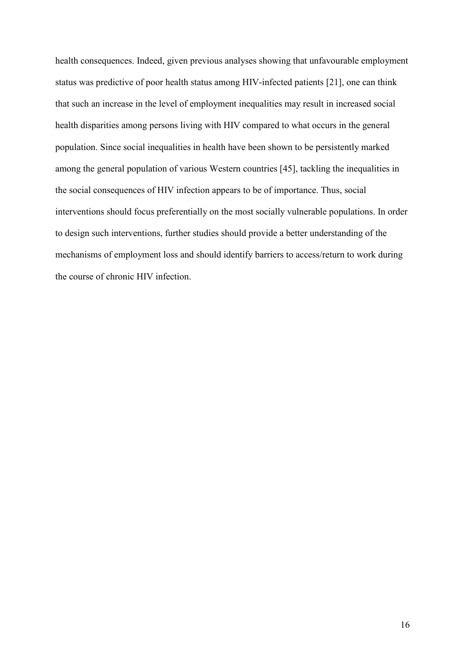health consequences. Indeed, given previous analyses showing that unfavourable employment status was predictive of poor health status among HIV-infected patients [21], one can think that such an increase in the level of employment inequalities may result in increased social health disparities among persons living with HIV compared to what occurs in the general population. Since social inequalities in health have been shown to be persistently marked among the general population of various Western countries [45], tackling the inequalities in the social consequences of HIV infection appears to be of importance. Thus, social interventions should focus preferentially on the most socially vulnerable populations. In order to design such interventions, further studies should provide a better understanding of the mechanisms of employment loss and should identify barriers to access/return to work during the course of chronic HIV infection.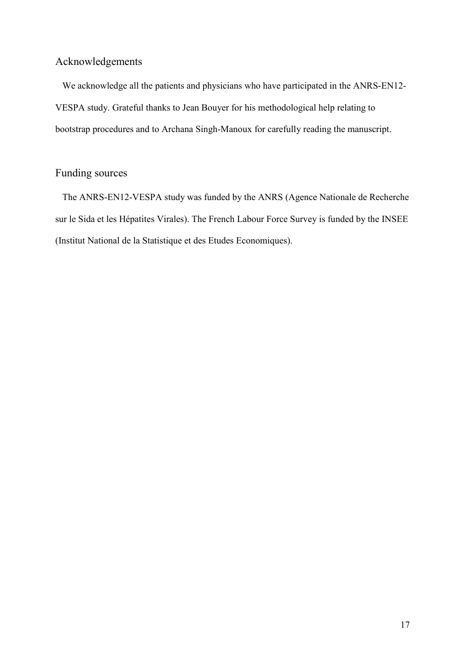# Acknowledgements

We acknowledge all the patients and physicians who have participated in the ANRS-EN12- VESPA study. Grateful thanks to Jean Bouyer for his methodological help relating to bootstrap procedures and to Archana Singh-Manoux for carefully reading the manuscript.

# Funding sources

The ANRS-EN12-VESPA study was funded by the ANRS (Agence Nationale de Recherche sur le Sida et les Hépatites Virales). The French Labour Force Survey is funded by the INSEE (Institut National de la Statistique et des Etudes Economiques).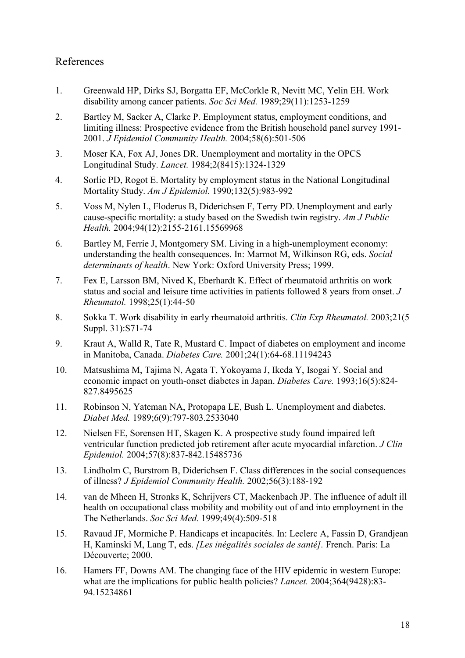# References

- 1. Greenwald HP, Dirks SJ, Borgatta EF, McCorkle R, Nevitt MC, Yelin EH. Work disability among cancer patients. Soc Sci Med. 1989;29(11):1253-1259
- 2. Bartley M, Sacker A, Clarke P. Employment status, employment conditions, and limiting illness: Prospective evidence from the British household panel survey 1991- 2001. J Epidemiol Community Health. 2004;58(6):501-506
- 3. Moser KA, Fox AJ, Jones DR. Unemployment and mortality in the OPCS Longitudinal Study. Lancet. 1984;2(8415):1324-1329
- 4. Sorlie PD, Rogot E. Mortality by employment status in the National Longitudinal Mortality Study. Am J Epidemiol. 1990;132(5):983-992
- 5. Voss M, Nylen L, Floderus B, Diderichsen F, Terry PD. Unemployment and early cause-specific mortality: a study based on the Swedish twin registry. Am J Public Health. 2004;94(12):2155-2161.15569968
- 6. Bartley M, Ferrie J, Montgomery SM. Living in a high-unemployment economy: understanding the health consequences. In: Marmot M, Wilkinson RG, eds. Social determinants of health. New York: Oxford University Press; 1999.
- 7. Fex E, Larsson BM, Nived K, Eberhardt K. Effect of rheumatoid arthritis on work status and social and leisure time activities in patients followed 8 years from onset. J Rheumatol. 1998;25(1):44-50
- 8. Sokka T. Work disability in early rheumatoid arthritis. Clin Exp Rheumatol. 2003;21(5 Suppl. 31):S71-74
- 9. Kraut A, Walld R, Tate R, Mustard C. Impact of diabetes on employment and income in Manitoba, Canada. Diabetes Care. 2001;24(1):64-68.11194243
- 10. Matsushima M, Tajima N, Agata T, Yokoyama J, Ikeda Y, Isogai Y. Social and economic impact on youth-onset diabetes in Japan. Diabetes Care. 1993;16(5):824- 827.8495625
- 11. Robinson N, Yateman NA, Protopapa LE, Bush L. Unemployment and diabetes. Diabet Med. 1989;6(9):797-803.2533040
- 12. Nielsen FE, Sorensen HT, Skagen K. A prospective study found impaired left ventricular function predicted job retirement after acute myocardial infarction. J Clin Epidemiol. 2004;57(8):837-842.15485736
- 13. Lindholm C, Burstrom B, Diderichsen F. Class differences in the social consequences of illness? J Epidemiol Community Health. 2002;56(3):188-192
- 14. van de Mheen H, Stronks K, Schrijvers CT, Mackenbach JP. The influence of adult ill health on occupational class mobility and mobility out of and into employment in the The Netherlands. Soc Sci Med. 1999;49(4):509-518
- 15. Ravaud JF, Mormiche P. Handicaps et incapacités. In: Leclerc A, Fassin D, Grandjean H, Kaminski M, Lang T, eds. *[Les inégalités sociales de santé]*. French. Paris: La Découverte; 2000.
- 16. Hamers FF, Downs AM. The changing face of the HIV epidemic in western Europe: what are the implications for public health policies? *Lancet*. 2004;364(9428):83-94.15234861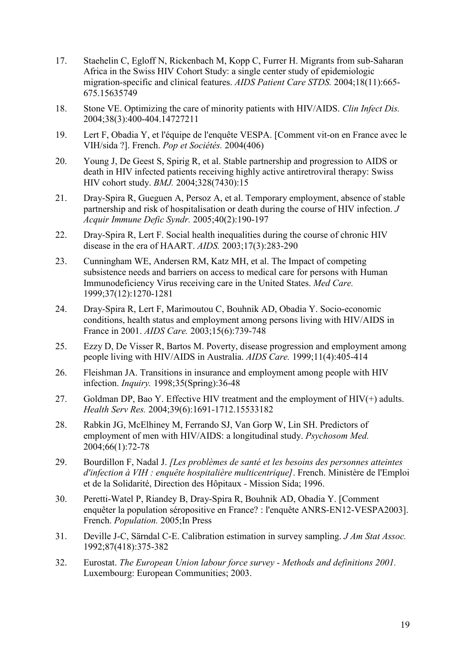- 17. Staehelin C, Egloff N, Rickenbach M, Kopp C, Furrer H. Migrants from sub-Saharan Africa in the Swiss HIV Cohort Study: a single center study of epidemiologic migration-specific and clinical features. AIDS Patient Care STDS. 2004;18(11):665- 675.15635749
- 18. Stone VE. Optimizing the care of minority patients with HIV/AIDS. Clin Infect Dis. 2004;38(3):400-404.14727211
- 19. Lert F, Obadia Y, et l'équipe de l'enquête VESPA. [Comment vit-on en France avec le VIH/sida ?]. French. Pop et Sociétés. 2004(406)
- 20. Young J, De Geest S, Spirig R, et al. Stable partnership and progression to AIDS or death in HIV infected patients receiving highly active antiretroviral therapy: Swiss HIV cohort study. BMJ. 2004;328(7430):15
- 21. Dray-Spira R, Gueguen A, Persoz A, et al. Temporary employment, absence of stable partnership and risk of hospitalisation or death during the course of HIV infection. J Acquir Immune Defic Syndr. 2005;40(2):190-197
- 22. Dray-Spira R, Lert F. Social health inequalities during the course of chronic HIV disease in the era of HAART. AIDS. 2003;17(3):283-290
- 23. Cunningham WE, Andersen RM, Katz MH, et al. The Impact of competing subsistence needs and barriers on access to medical care for persons with Human Immunodeficiency Virus receiving care in the United States. Med Care. 1999;37(12):1270-1281
- 24. Dray-Spira R, Lert F, Marimoutou C, Bouhnik AD, Obadia Y. Socio-economic conditions, health status and employment among persons living with HIV/AIDS in France in 2001. AIDS Care. 2003;15(6):739-748
- 25. Ezzy D, De Visser R, Bartos M. Poverty, disease progression and employment among people living with HIV/AIDS in Australia. AIDS Care. 1999;11(4):405-414
- 26. Fleishman JA. Transitions in insurance and employment among people with HIV infection. Inquiry. 1998;35(Spring):36-48
- 27. Goldman DP, Bao Y. Effective HIV treatment and the employment of  $HIV(+)$  adults. Health Serv Res. 2004;39(6):1691-1712.15533182
- 28. Rabkin JG, McElhiney M, Ferrando SJ, Van Gorp W, Lin SH. Predictors of employment of men with HIV/AIDS: a longitudinal study. Psychosom Med. 2004;66(1):72-78
- 29. Bourdillon F, Nadal J. [Les problèmes de santé et les besoins des personnes atteintes d'infection à VIH : enquête hospitalière multicentrique]. French. Ministère de l'Emploi et de la Solidarité, Direction des Hôpitaux - Mission Sida; 1996.
- 30. Peretti-Watel P, Riandey B, Dray-Spira R, Bouhnik AD, Obadia Y. [Comment enquêter la population séropositive en France? : l'enquête ANRS-EN12-VESPA2003]. French. Population. 2005;In Press
- 31. Deville J-C, Särndal C-E. Calibration estimation in survey sampling. J Am Stat Assoc. 1992;87(418):375-382
- 32. Eurostat. The European Union labour force survey Methods and definitions 2001. Luxembourg: European Communities; 2003.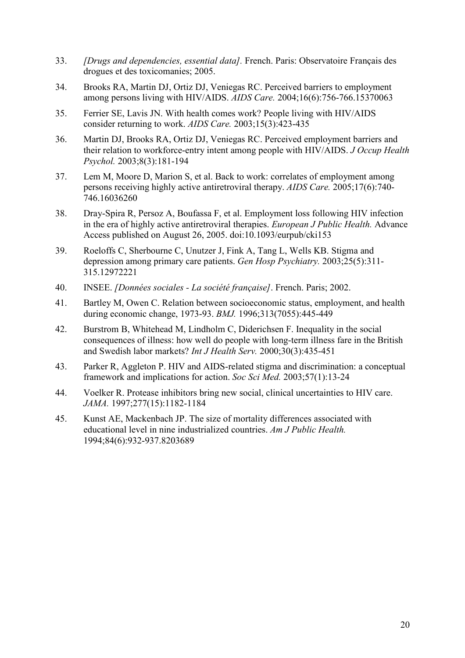- 33. [Drugs and dependencies, essential data]. French. Paris: Observatoire Français des drogues et des toxicomanies; 2005.
- 34. Brooks RA, Martin DJ, Ortiz DJ, Veniegas RC. Perceived barriers to employment among persons living with HIV/AIDS. AIDS Care. 2004;16(6):756-766.15370063
- 35. Ferrier SE, Lavis JN. With health comes work? People living with HIV/AIDS consider returning to work. AIDS Care. 2003;15(3):423-435
- 36. Martin DJ, Brooks RA, Ortiz DJ, Veniegas RC. Perceived employment barriers and their relation to workforce-entry intent among people with HIV/AIDS. J Occup Health Psychol. 2003;8(3):181-194
- 37. Lem M, Moore D, Marion S, et al. Back to work: correlates of employment among persons receiving highly active antiretroviral therapy. AIDS Care. 2005;17(6):740- 746.16036260
- 38. Dray-Spira R, Persoz A, Boufassa F, et al. Employment loss following HIV infection in the era of highly active antiretroviral therapies. European J Public Health. Advance Access published on August 26, 2005. doi:10.1093/eurpub/cki153
- 39. Roeloffs C, Sherbourne C, Unutzer J, Fink A, Tang L, Wells KB. Stigma and depression among primary care patients. Gen Hosp Psychiatry. 2003;25(5):311- 315.12972221
- 40. INSEE. [Données sociales La société française]. French. Paris; 2002.
- 41. Bartley M, Owen C. Relation between socioeconomic status, employment, and health during economic change, 1973-93. BMJ. 1996;313(7055):445-449
- 42. Burstrom B, Whitehead M, Lindholm C, Diderichsen F. Inequality in the social consequences of illness: how well do people with long-term illness fare in the British and Swedish labor markets? Int J Health Serv. 2000;30(3):435-451
- 43. Parker R, Aggleton P. HIV and AIDS-related stigma and discrimination: a conceptual framework and implications for action. Soc Sci Med. 2003;57(1):13-24
- 44. Voelker R. Protease inhibitors bring new social, clinical uncertainties to HIV care. JAMA. 1997;277(15):1182-1184
- 45. Kunst AE, Mackenbach JP. The size of mortality differences associated with educational level in nine industrialized countries. Am J Public Health. 1994;84(6):932-937.8203689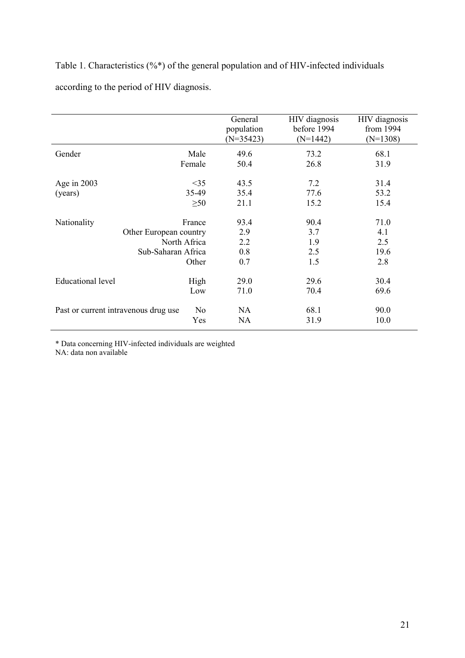## Table 1. Characteristics (%\*) of the general population and of HIV-infected individuals

according to the period of HIV diagnosis.

|                                                               |           | General<br>population<br>$(N=35423)$ | HIV diagnosis<br>before 1994<br>$(N=1442)$ | HIV diagnosis<br>from 1994<br>$(N=1308)$ |
|---------------------------------------------------------------|-----------|--------------------------------------|--------------------------------------------|------------------------------------------|
| Gender                                                        | Male      | 49.6                                 | 73.2                                       | 68.1                                     |
|                                                               | Female    | 50.4                                 | 26.8                                       | 31.9                                     |
| Age in $2003$                                                 | $\leq$ 35 | 43.5                                 | 7.2                                        | 31.4                                     |
| (years)                                                       | 35-49     | 35.4                                 | 77.6                                       | 53.2                                     |
|                                                               | $\geq 50$ | 21.1                                 | 15.2                                       | 15.4                                     |
| Nationality                                                   | France    | 93.4                                 | 90.4                                       | 71.0                                     |
| Other European country<br>North Africa<br>Sub-Saharan Africa  |           | 2.9                                  | 3.7                                        | 4.1                                      |
|                                                               |           | 2.2                                  | 1.9                                        | 2.5                                      |
|                                                               |           | 0.8                                  | 2.5                                        | 19.6                                     |
|                                                               | Other     | 0.7                                  | 1.5                                        | 2.8                                      |
| Educational level                                             | High      | 29.0                                 | 29.6                                       | 30.4                                     |
|                                                               | Low       | 71.0                                 | 70.4                                       | 69.6                                     |
| N <sub>0</sub><br>Past or current intravenous drug use<br>Yes |           | <b>NA</b>                            | 68.1                                       | 90.0                                     |
|                                                               |           | <b>NA</b>                            | 31.9                                       | 10.0                                     |

\* Data concerning HIV-infected individuals are weighted

NA: data non available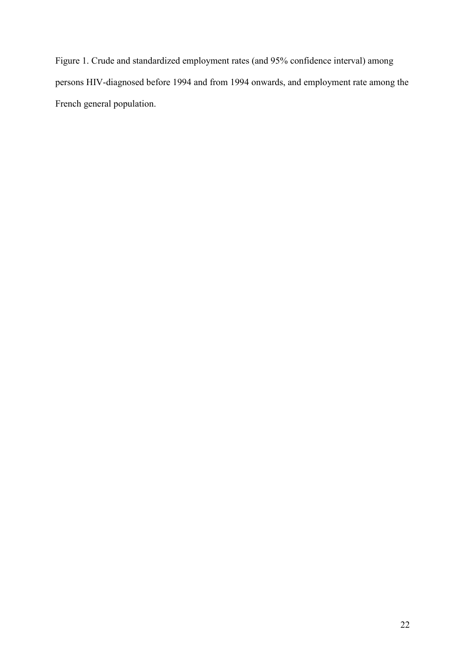Figure 1. Crude and standardized employment rates (and 95% confidence interval) among persons HIV-diagnosed before 1994 and from 1994 onwards, and employment rate among the French general population.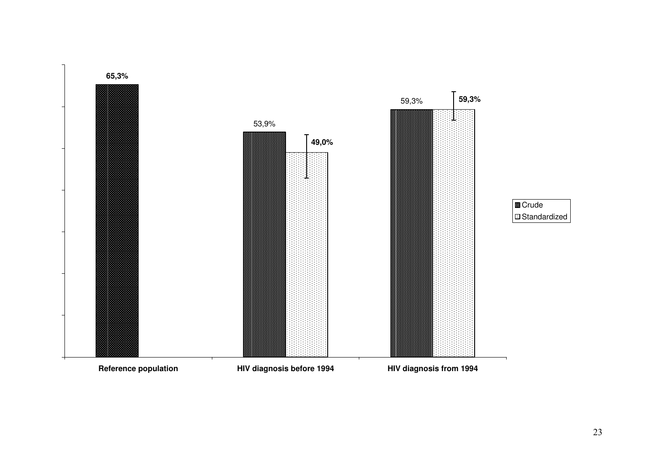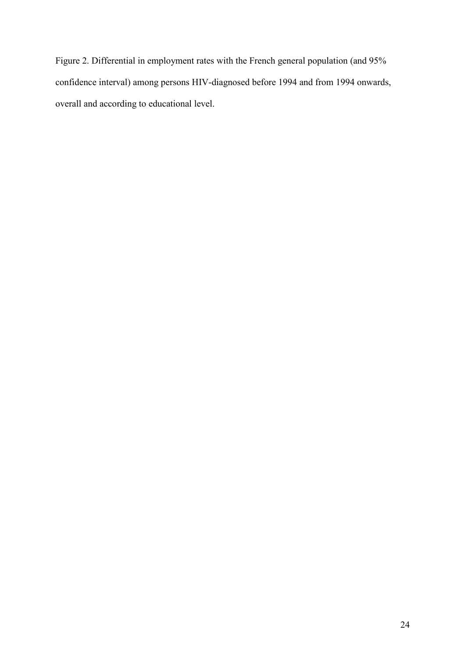Figure 2. Differential in employment rates with the French general population (and 95% confidence interval) among persons HIV-diagnosed before 1994 and from 1994 onwards, overall and according to educational level.